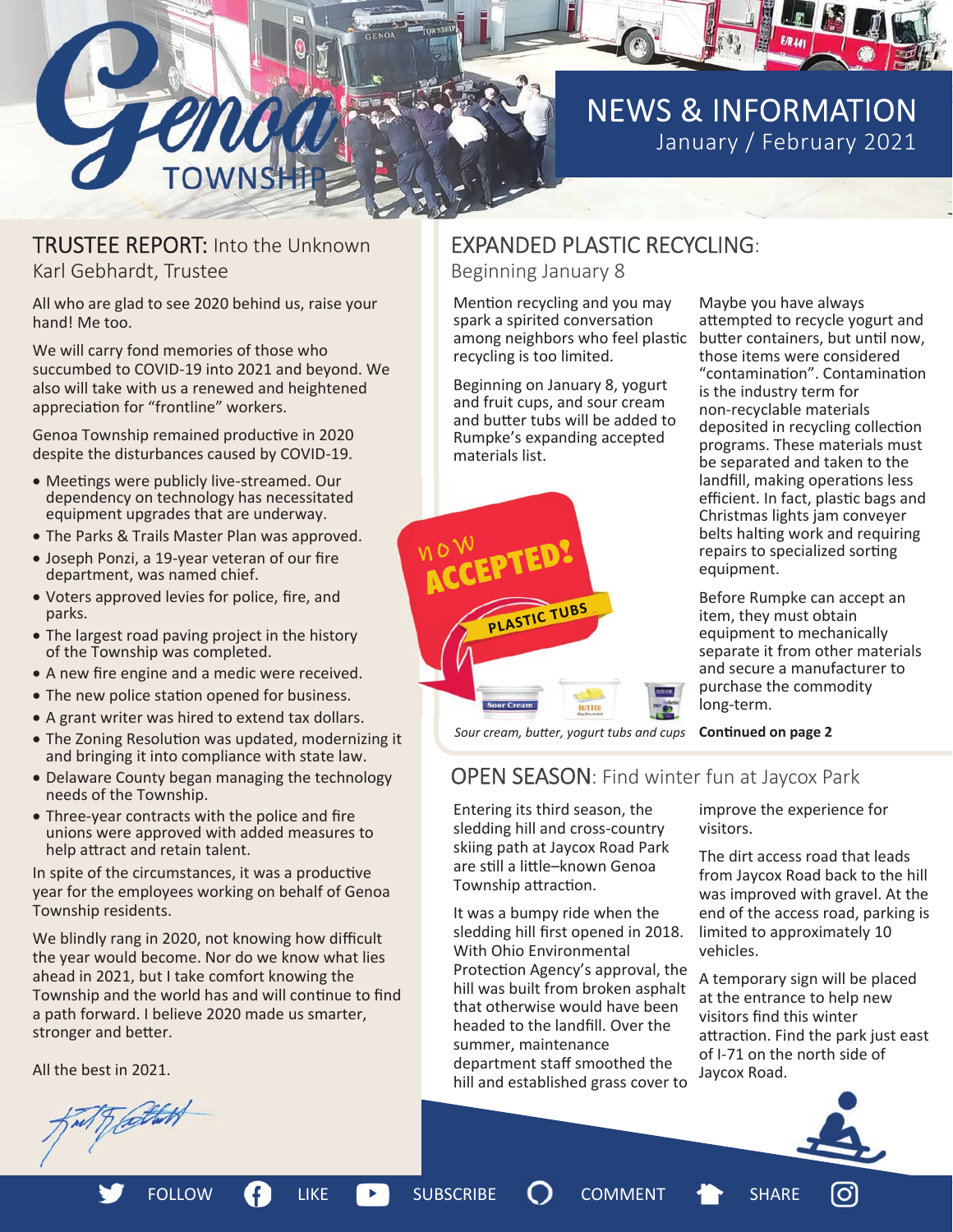

### TRUSTEE REPORT: Into the Unknown Karl Gebhardt, Trustee

ENNE

All who are glad to see 2020 behind us, raise your hand! Me too.

We will carry fond memories of those who succumbed to COVID-19 into 2021 and beyond. We also will take with us a renewed and heightened appreciation for "frontline" workers.

Genoa Township remained productive in 2020 despite the disturbances caused by COVID-19.

- Meetings were publicly live-streamed. Our dependency on technology has necessitated equipment upgrades that are underway.
- The Parks & Trails Master Plan was approved.
- Joseph Ponzi, a 19-year veteran of our fire department, was named chief.
- Voters approved levies for police, fire, and parks.
- The largest road paving project in the history of the Township was completed.
- A new fire engine and a medic were received.
- The new police station opened for business.
- A grant writer was hired to extend tax dollars.
- The Zoning Resolution was updated, modernizing it and bringing it into compliance with state law.
- Delaware County began managing the technology needs of the Township.
- Three-year contracts with the police and fire unions were approved with added measures to help attract and retain talent.

In spite of the circumstances, it was a productive year for the employees working on behalf of Genoa Township residents.

We blindly rang in 2020, not knowing how difficult the year would become. Nor do we know what lies ahead in 2021, but I take comfort knowing the Township and the world has and will continue to find a path forward. I believe 2020 made us smarter, stronger and better.

All the best in 2021.

Trathet

## EXPANDED PLASTIC RECYCLING:

Beginning January 8

Mention recycling and you may spark a spirited conversation among neighbors who feel plastic recycling is too limited.

Beginning on January 8, yogurt and fruit cups, and sour cream and butter tubs will be added to Rumpke's expanding accepted materials list.



Maybe you have always attempted to recycle yogurt and butter containers, but until now, those items were considered "contaminaƟon". ContaminaƟon is the industry term for non-recyclable materials deposited in recycling collection programs. These materials must be separated and taken to the landfill, making operations less efficient. In fact, plastic bags and Christmas lights jam conveyer belts halting work and requiring repairs to specialized sorting equipment.

Before Rumpke can accept an item, they must obtain equipment to mechanically separate it from other materials and secure a manufacturer to purchase the commodity long-term.

**ConƟnued on page 2** *Sour cream, buƩer, yogurt tubs and cups* 

### OPEN SEASON: Find winter fun at Jaycox Park

Entering its third season, the sledding hill and cross-country skiing path at Jaycox Road Park are still a little-known Genoa Township attraction.

It was a bumpy ride when the sledding hill first opened in 2018. With Ohio Environmental Protection Agency's approval, the hill was built from broken asphalt that otherwise would have been headed to the landfill. Over the summer, maintenance department staff smoothed the hill and established grass cover to

improve the experience for visitors.

The dirt access road that leads from Jaycox Road back to the hill was improved with gravel. At the end of the access road, parking is limited to approximately 10 vehicles.

A temporary sign will be placed at the entrance to help new visitors find this winter attraction. Find the park just east of I-71 on the north side of Jaycox Road.

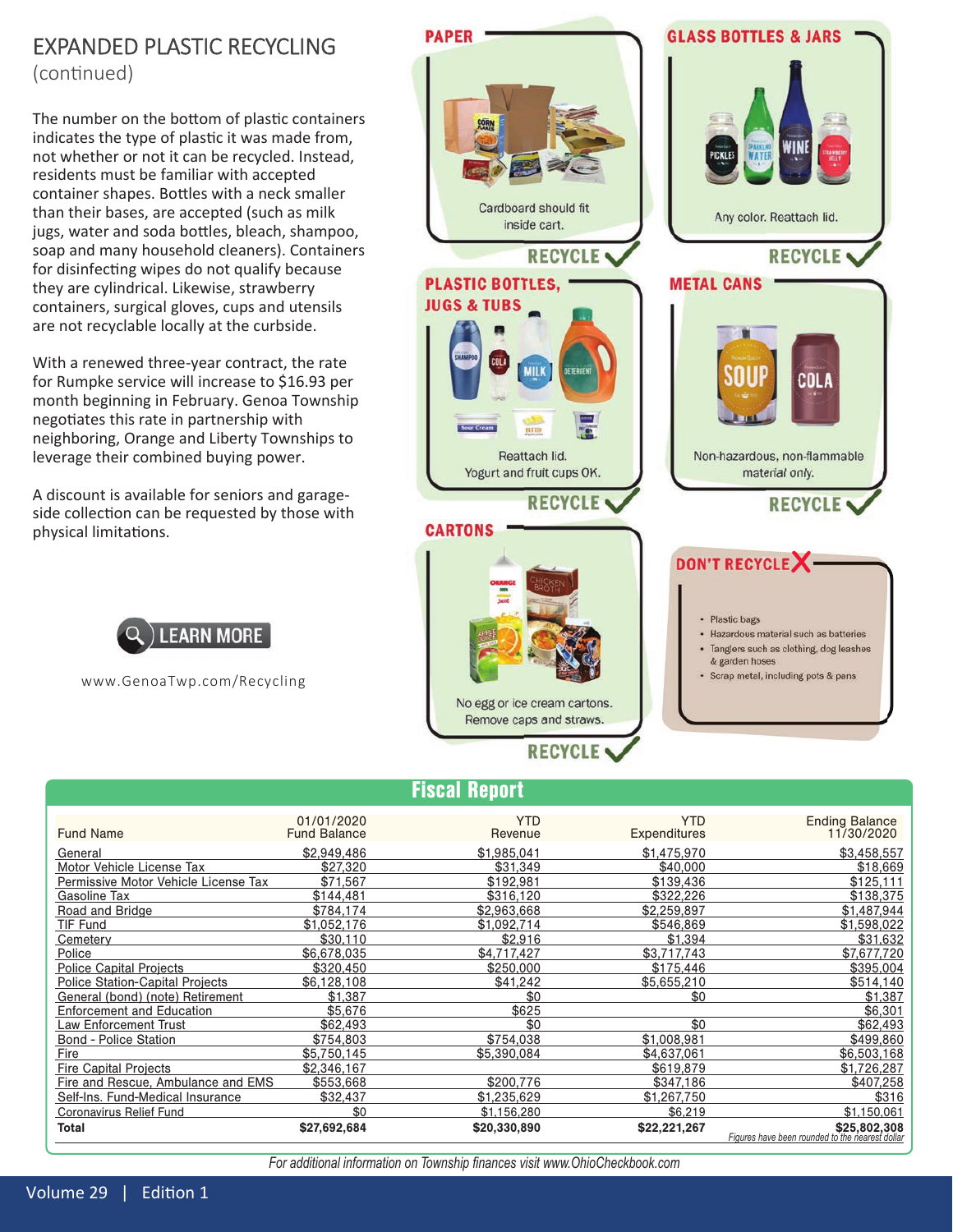## EXPANDED PLASTIC RECYCLING

(continued)

The number on the bottom of plastic containers indicates the type of plastic it was made from, not whether or not it can be recycled. Instead, residents must be familiar with accepted container shapes. Bottles with a neck smaller than their bases, are accepted (such as milk jugs, water and soda bottles, bleach, shampoo, soap and many household cleaners). Containers for disinfecting wipes do not qualify because they are cylindrical. Likewise, strawberry containers, surgical gloves, cups and utensils are not recyclable locally at the curbside.

With a renewed three-year contract, the rate for Rumpke service will increase to \$16.93 per month beginning in February. Genoa Township negotiates this rate in partnership with neighboring, Orange and Liberty Townships to leverage their combined buying power.

A discount is available for seniors and garageside collection can be requested by those with physical limitations.



www.GenoaTwp.com/Recycling



### Fiscal Report

|                                        |                                   | <b>FISCAI REPOFT</b>  |                                   |                                                                 |
|----------------------------------------|-----------------------------------|-----------------------|-----------------------------------|-----------------------------------------------------------------|
| <b>Fund Name</b>                       | 01/01/2020<br><b>Fund Balance</b> | <b>YTD</b><br>Revenue | <b>YTD</b><br><b>Expenditures</b> | <b>Ending Balance</b><br>11/30/2020                             |
| General                                | \$2,949,486                       | \$1.985.041           | \$1,475,970                       | \$3.458.557                                                     |
| Motor Vehicle License Tax              | \$27,320                          | \$31.349              | \$40,000                          | \$18,669                                                        |
| Permissive Motor Vehicle License Tax   | \$71.567                          | \$192.981             | \$139,436                         | \$125.111                                                       |
| Gasoline Tax                           | \$144,481                         | \$316.120             | \$322.226                         | \$138,375                                                       |
| Road and Bridge                        | \$784.174                         | \$2.963.668           | \$2,259.897                       | \$1,487,944                                                     |
| TIF Fund                               | \$1,052,176                       | \$1.092.714           | \$546.869                         | \$1,598,022                                                     |
| Cemetery                               | \$30,110                          | \$2,916               | \$1.394                           | \$31,632                                                        |
| Police                                 | \$6,678,035                       | \$4.717.427           | \$3.717.743                       | \$7.677.720                                                     |
| <b>Police Capital Projects</b>         | \$320.450                         | \$250.000             | \$175.446                         | \$395,004                                                       |
| <b>Police Station-Capital Projects</b> | \$6,128,108                       | \$41.242              | \$5,655,210                       | \$514,140                                                       |
| General (bond) (note) Retirement       | \$1,387                           | \$0                   | \$0                               | \$1,387                                                         |
| <b>Enforcement and Education</b>       | \$5,676                           | \$625                 |                                   | \$6,301                                                         |
| Law Enforcement Trust                  | \$62,493                          | \$0                   | \$0                               | \$62,493                                                        |
| <b>Bond - Police Station</b>           | \$754,803                         | \$754,038             | \$1,008,981                       | \$499,860                                                       |
| Fire                                   | \$5.750.145                       | \$5.390.084           | \$4,637,061                       | \$6,503,168                                                     |
| <b>Fire Capital Projects</b>           | \$2,346,167                       |                       | \$619,879                         | \$1,726,287                                                     |
| Fire and Rescue, Ambulance and EMS     | \$553,668                         | \$200.776             | \$347,186                         | \$407,258                                                       |
| Self-Ins. Fund-Medical Insurance       | \$32,437                          | \$1,235,629           | \$1,267,750                       | \$316                                                           |
| Coronavirus Relief Fund                | \$0                               | \$1,156,280           | \$6,219                           | \$1,150,061                                                     |
| Total                                  | \$27,692,684                      | \$20,330,890          | \$22,221,267                      | \$25,802,308<br>Figures have been rounded to the nearest dollar |

For additional information on Township finances visit www.OhioCheckbook.com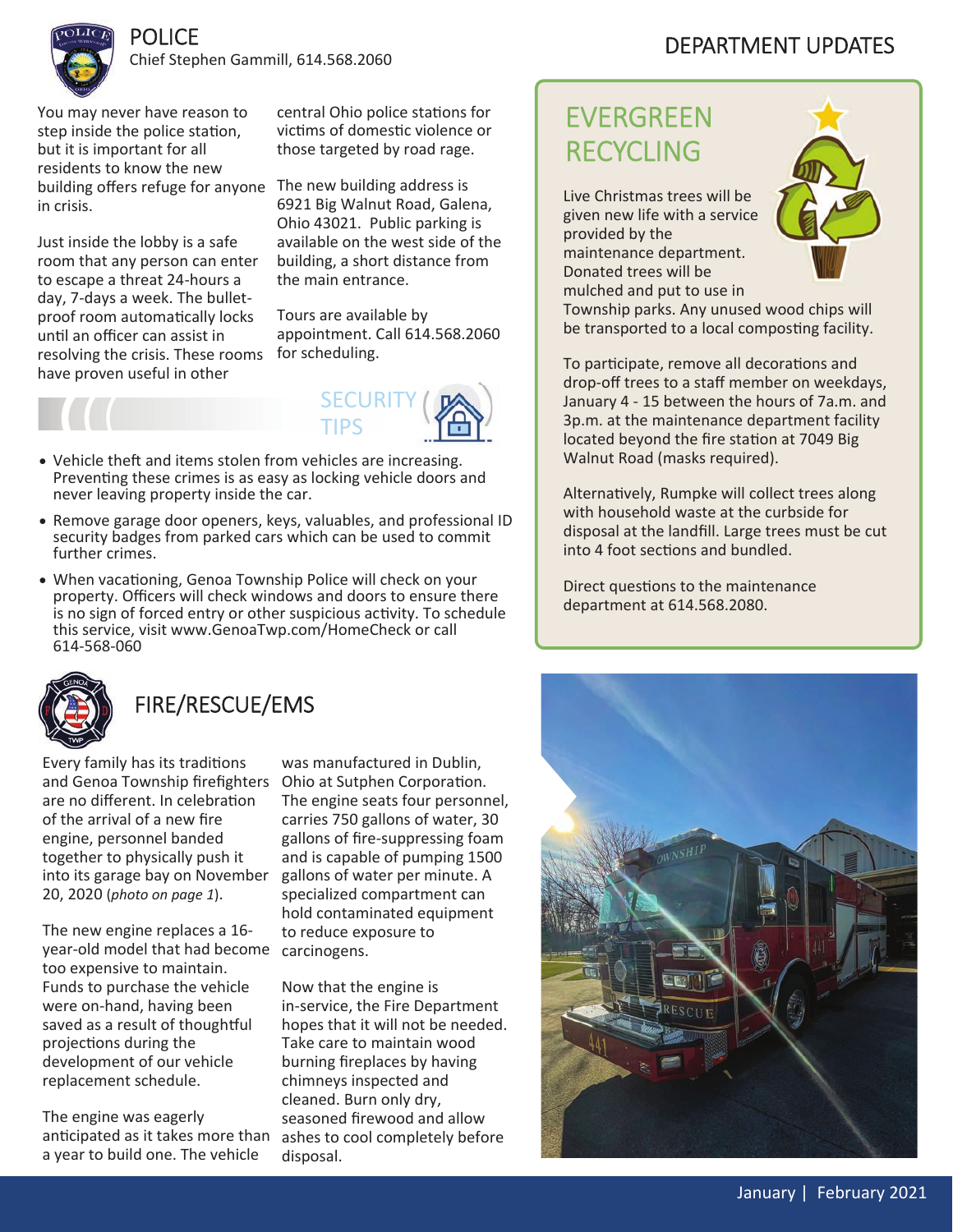

### Chief Stephen Gammill, 614.568.2060

You may never have reason to step inside the police station, but it is important for all residents to know the new building offers refuge for anyone The new building address is in crisis.

POLICE

Just inside the lobby is a safe room that any person can enter to escape a threat 24-hours a day, 7-days a week. The bulletproof room automatically locks until an officer can assist in resolving the crisis. These rooms for scheduling. have proven useful in other

central Ohio police stations for victims of domestic violence or those targeted by road rage.

6921 Big Walnut Road, Galena, Ohio 43021. Public parking is available on the west side of the building, a short distance from the main entrance.

Tours are available by appointment. Call 614.568.2060



- Vehicle theft and items stolen from vehicles are increasing. Preventing these crimes is as easy as locking vehicle doors and never leaving property inside the car.
- Remove garage door openers, keys, valuables, and professional ID security badges from parked cars which can be used to commit further crimes.
- When vacationing, Genoa Township Police will check on your property. Officers will check windows and doors to ensure there is no sign of forced entry or other suspicious activity. To schedule this service, visit www.GenoaTwp.com/HomeCheck or call 614-568-060



## FIRE/RESCUE/EMS

Every family has its traditions and Genoa Township firefighters Ohio at Sutphen Corporation. are no different. In celebration of the arrival of a new fire engine, personnel banded together to physically push it into its garage bay on November 20, 2020 (*photo on page 1*).

The new engine replaces a 16year-old model that had become carcinogens. too expensive to maintain. Funds to purchase the vehicle were on-hand, having been saved as a result of thoughtful projections during the development of our vehicle replacement schedule.

The engine was eagerly anticipated as it takes more than a year to build one. The vehicle

was manufactured in Dublin, The engine seats four personnel, carries 750 gallons of water, 30 gallons of fire-suppressing foam and is capable of pumping 1500 gallons of water per minute. A specialized compartment can hold contaminated equipment to reduce exposure to

Now that the engine is in-service, the Fire Department hopes that it will not be needed. Take care to maintain wood burning fireplaces by having chimneys inspected and cleaned. Burn only dry, seasoned firewood and allow ashes to cool completely before disposal.

## EVERGREEN RECYCLING

Live Christmas trees will be given new life with a service provided by the maintenance department. Donated trees will be mulched and put to use in



Township parks. Any unused wood chips will be transported to a local composting facility.

To participate, remove all decorations and drop-off trees to a staff member on weekdays, January 4 - 15 between the hours of 7a.m. and 3p.m. at the maintenance department facility located beyond the fire station at 7049 Big Walnut Road (masks required).

Alternatively, Rumpke will collect trees along with household waste at the curbside for disposal at the landfill. Large trees must be cut into 4 foot sections and bundled.

Direct questions to the maintenance department at 614.568.2080.



## DEPARTMENT UPDATES